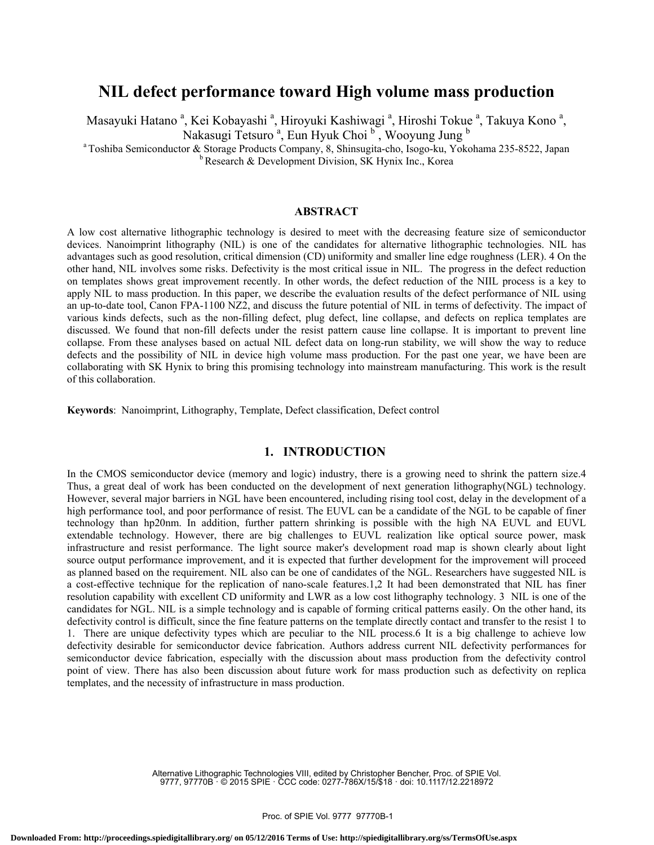# **NIL defect performance toward High volume mass production**

Masayuki Hatano<sup>a</sup>, Kei Kobayashi<sup>a</sup>, Hiroyuki Kashiwagi<sup>a</sup>, Hiroshi Tokue<sup>a</sup>, Takuya Kono<sup>a</sup>,

Nakasugi Tetsuro<sup>a</sup>, Eun Hyuk Choi<sup>b</sup>, Wooyung Jung<sup>b</sup>

a Toshiba Semiconductor & Storage Products Company, 8, Shinsugita-cho, Isogo-ku, Yokohama 235-8522, Japan <sup>b</sup> Research & Development Division, SK Hynix Inc., Korea

# **ABSTRACT**

A low cost alternative lithographic technology is desired to meet with the decreasing feature size of semiconductor devices. Nanoimprint lithography (NIL) is one of the candidates for alternative lithographic technologies. NIL has advantages such as good resolution, critical dimension (CD) uniformity and smaller line edge roughness (LER). 4 On the other hand, NIL involves some risks. Defectivity is the most critical issue in NIL. The progress in the defect reduction on templates shows great improvement recently. In other words, the defect reduction of the NIIL process is a key to apply NIL to mass production. In this paper, we describe the evaluation results of the defect performance of NIL using an up-to-date tool, Canon FPA-1100 NZ2, and discuss the future potential of NIL in terms of defectivity. The impact of various kinds defects, such as the non-filling defect, plug defect, line collapse, and defects on replica templates are discussed. We found that non-fill defects under the resist pattern cause line collapse. It is important to prevent line collapse. From these analyses based on actual NIL defect data on long-run stability, we will show the way to reduce defects and the possibility of NIL in device high volume mass production. For the past one year, we have been are collaborating with SK Hynix to bring this promising technology into mainstream manufacturing. This work is the result of this collaboration.

**Keywords**: Nanoimprint, Lithography, Template, Defect classification, Defect control

# **1. INTRODUCTION**

In the CMOS semiconductor device (memory and logic) industry, there is a growing need to shrink the pattern size.4 Thus, a great deal of work has been conducted on the development of next generation lithography(NGL) technology. However, several major barriers in NGL have been encountered, including rising tool cost, delay in the development of a high performance tool, and poor performance of resist. The EUVL can be a candidate of the NGL to be capable of finer technology than hp20nm. In addition, further pattern shrinking is possible with the high NA EUVL and EUVL extendable technology. However, there are big challenges to EUVL realization like optical source power, mask infrastructure and resist performance. The light source maker's development road map is shown clearly about light source output performance improvement, and it is expected that further development for the improvement will proceed as planned based on the requirement. NIL also can be one of candidates of the NGL. Researchers have suggested NIL is a cost-effective technique for the replication of nano-scale features.1,2 It had been demonstrated that NIL has finer resolution capability with excellent CD uniformity and LWR as a low cost lithography technology. 3 NIL is one of the candidates for NGL. NIL is a simple technology and is capable of forming critical patterns easily. On the other hand, its defectivity control is difficult, since the fine feature patterns on the template directly contact and transfer to the resist 1 to 1. There are unique defectivity types which are peculiar to the NIL process.6 It is a big challenge to achieve low defectivity desirable for semiconductor device fabrication. Authors address current NIL defectivity performances for semiconductor device fabrication, especially with the discussion about mass production from the defectivity control point of view. There has also been discussion about future work for mass production such as defectivity on replica templates, and the necessity of infrastructure in mass production.

> Alternative Lithographic Technologies VIII, edited by Christopher Bencher, Proc. of SPIE Vol. 9777, 97770B · © 2015 SPIE · CCC code: 0277-786X/15/\$18 · doi: 10.1117/12.2218972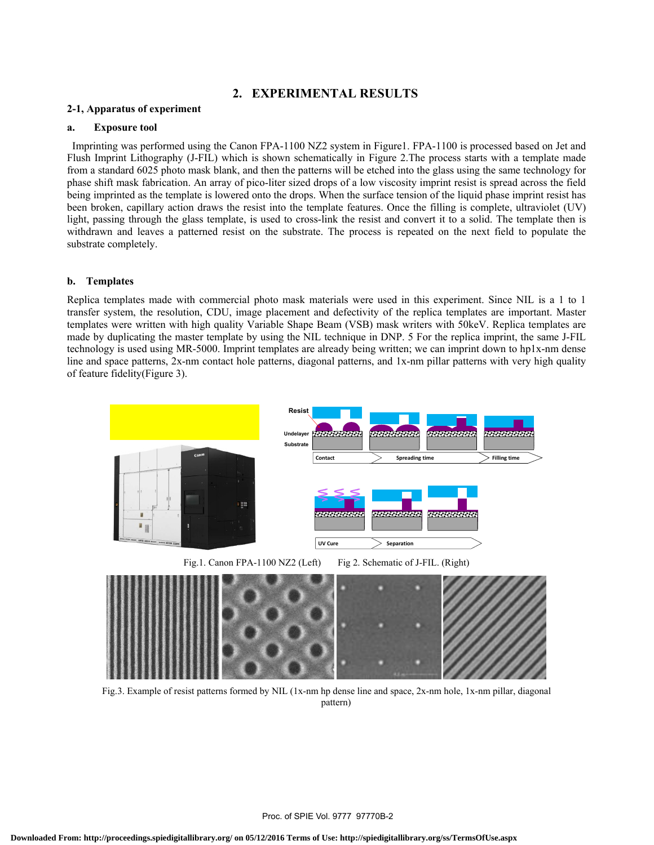# **2. EXPERIMENTAL RESULTS**

#### **2-1, Apparatus of experiment**

#### **a. Exposure tool**

Imprinting was performed using the Canon FPA-1100 NZ2 system in Figure1. FPA-1100 is processed based on Jet and Flush Imprint Lithography (J-FIL) which is shown schematically in Figure 2.The process starts with a template made from a standard 6025 photo mask blank, and then the patterns will be etched into the glass using the same technology for phase shift mask fabrication. An array of pico-liter sized drops of a low viscosity imprint resist is spread across the field being imprinted as the template is lowered onto the drops. When the surface tension of the liquid phase imprint resist has been broken, capillary action draws the resist into the template features. Once the filling is complete, ultraviolet (UV) light, passing through the glass template, is used to cross-link the resist and convert it to a solid. The template then is withdrawn and leaves a patterned resist on the substrate. The process is repeated on the next field to populate the substrate completely.

### **b. Templates**

Replica templates made with commercial photo mask materials were used in this experiment. Since NIL is a 1 to 1 transfer system, the resolution, CDU, image placement and defectivity of the replica templates are important. Master templates were written with high quality Variable Shape Beam (VSB) mask writers with 50keV. Replica templates are made by duplicating the master template by using the NIL technique in DNP. 5 For the replica imprint, the same J-FIL technology is used using MR-5000. Imprint templates are already being written; we can imprint down to hp1x-nm dense line and space patterns, 2x-nm contact hole patterns, diagonal patterns, and 1x-nm pillar patterns with very high quality of feature fidelity(Figure 3).



Fig.1. Canon FPA-1100 NZ2 (Left) Fig 2. Schematic of J-FIL. (Right)



Fig.3. Example of resist patterns formed by NIL (1x-nm hp dense line and space, 2x-nm hole, 1x-nm pillar, diagonal pattern)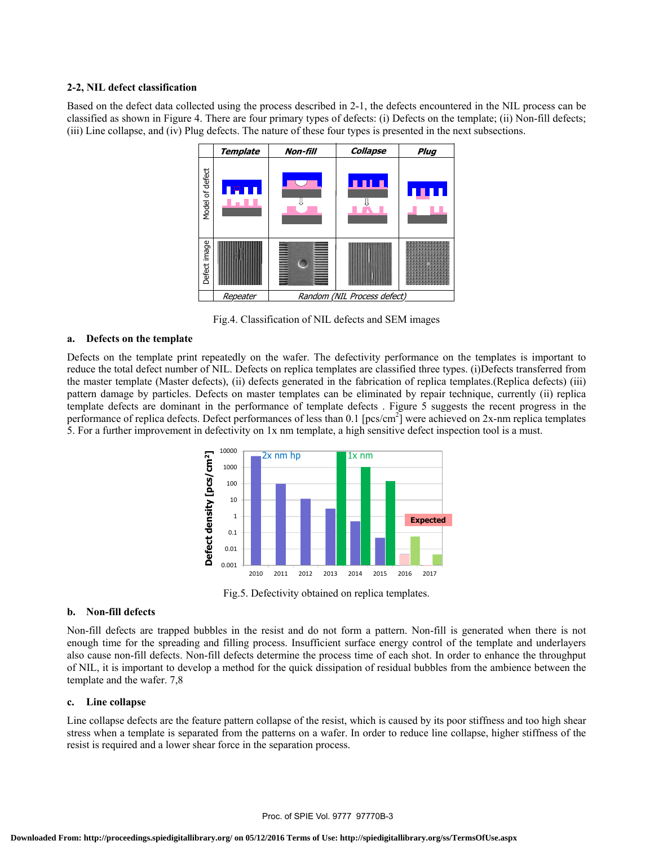#### **2-2, NIL defect classification**

Based on the defect data collected using the process described in 2-1, the defects encountered in the NIL process can be classified as shown in Figure 4. There are four primary types of defects: (i) Defects on the template; (ii) Non-fill defects; (iii) Line collapse, and (iv) Plug defects. The nature of these four types is presented in the next subsections.



Fig.4. Classification of NIL defects and SEM images

#### **a. Defects on the template**

Defects on the template print repeatedly on the wafer. The defectivity performance on the templates is important to reduce the total defect number of NIL. Defects on replica templates are classified three types. (i)Defects transferred from the master template (Master defects), (ii) defects generated in the fabrication of replica templates.(Replica defects) (iii) pattern damage by particles. Defects on master templates can be eliminated by repair technique, currently (ii) replica template defects are dominant in the performance of template defects . Figure 5 suggests the recent progress in the performance of replica defects. Defect performances of less than 0.1  $[\text{pcs/cm}^2]$  were achieved on 2x-nm replica templates 5. For a further improvement in defectivity on 1x nm template, a high sensitive defect inspection tool is a must.



Fig.5. Defectivity obtained on replica templates.

#### **b. Non-fill defects**

Non-fill defects are trapped bubbles in the resist and do not form a pattern. Non-fill is generated when there is not enough time for the spreading and filling process. Insufficient surface energy control of the template and underlayers also cause non-fill defects. Non-fill defects determine the process time of each shot. In order to enhance the throughput of NIL, it is important to develop a method for the quick dissipation of residual bubbles from the ambience between the template and the wafer. 7,8

#### **c. Line collapse**

Line collapse defects are the feature pattern collapse of the resist, which is caused by its poor stiffness and too high shear stress when a template is separated from the patterns on a wafer. In order to reduce line collapse, higher stiffness of the resist is required and a lower shear force in the separation process.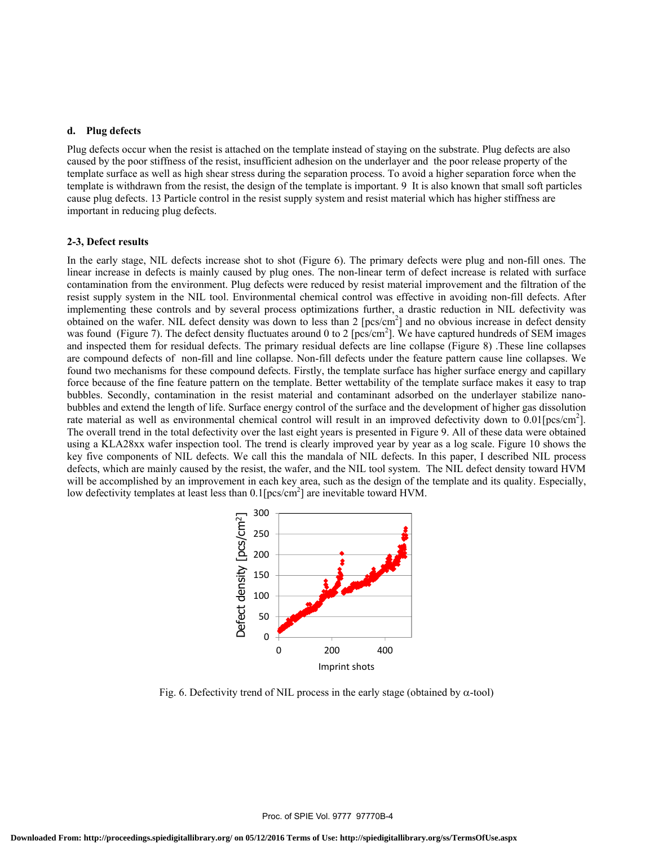#### **d. Plug defects**

Plug defects occur when the resist is attached on the template instead of staying on the substrate. Plug defects are also caused by the poor stiffness of the resist, insufficient adhesion on the underlayer and the poor release property of the template surface as well as high shear stress during the separation process. To avoid a higher separation force when the template is withdrawn from the resist, the design of the template is important. 9 It is also known that small soft particles cause plug defects. 13 Particle control in the resist supply system and resist material which has higher stiffness are important in reducing plug defects.

#### **2-3, Defect results**

In the early stage, NIL defects increase shot to shot (Figure 6). The primary defects were plug and non-fill ones. The linear increase in defects is mainly caused by plug ones. The non-linear term of defect increase is related with surface contamination from the environment. Plug defects were reduced by resist material improvement and the filtration of the resist supply system in the NIL tool. Environmental chemical control was effective in avoiding non-fill defects. After implementing these controls and by several process optimizations further, a drastic reduction in NIL defectivity was obtained on the wafer. NIL defect density was down to less than 2 [pcs/cm<sup>2</sup>] and no obvious increase in defect density was found (Figure 7). The defect density fluctuates around 0 to 2  $[pes/cm<sup>2</sup>]$ . We have captured hundreds of SEM images and inspected them for residual defects. The primary residual defects are line collapse (Figure 8) .These line collapses are compound defects of non-fill and line collapse. Non-fill defects under the feature pattern cause line collapses. We found two mechanisms for these compound defects. Firstly, the template surface has higher surface energy and capillary force because of the fine feature pattern on the template. Better wettability of the template surface makes it easy to trap bubbles. Secondly, contamination in the resist material and contaminant adsorbed on the underlayer stabilize nanobubbles and extend the length of life. Surface energy control of the surface and the development of higher gas dissolution rate material as well as environmental chemical control will result in an improved defectivity down to 0.01[pcs/cm<sup>2</sup>]. The overall trend in the total defectivity over the last eight years is presented in Figure 9. All of these data were obtained using a KLA28xx wafer inspection tool. The trend is clearly improved year by year as a log scale. Figure 10 shows the key five components of NIL defects. We call this the mandala of NIL defects. In this paper, I described NIL process defects, which are mainly caused by the resist, the wafer, and the NIL tool system. The NIL defect density toward HVM will be accomplished by an improvement in each key area, such as the design of the template and its quality. Especially, low defectivity templates at least less than  $0.1$  [pcs/cm<sup>2</sup>] are inevitable toward HVM.



Fig. 6. Defectivity trend of NIL process in the early stage (obtained by  $\alpha$ -tool)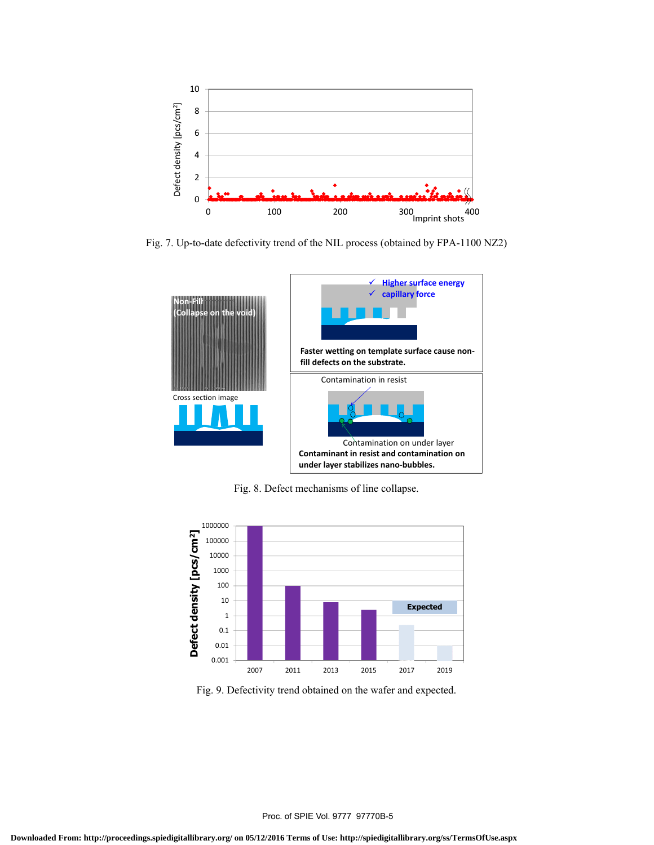

Fig. 7. Up-to-date defectivity trend of the NIL process (obtained by FPA-1100 NZ2)



Fig. 8. Defect mechanisms of line collapse.



Fig. 9. Defectivity trend obtained on the wafer and expected.